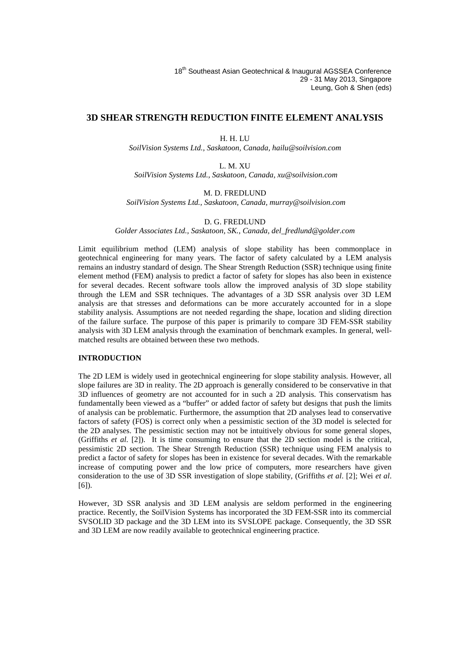# **3D SHEAR STRENGTH REDUCTION FINITE ELEMENT ANALYSIS**

# H. H. LU

*SoilVision Systems Ltd., Saskatoon, Canada, hailu@soilvision.com*

L. M. XU *SoilVision Systems Ltd., Saskatoon, Canada, xu@soilvision.com*

# M. D. FREDLUND

*SoilVision Systems Ltd., Saskatoon, Canada, murray@soilvision.com*

# D. G. FREDLUND

*Golder Associates Ltd., Saskatoon, SK., Canada, del\_fredlund@golder.com*

Limit equilibrium method (LEM) analysis of slope stability has been commonplace in geotechnical engineering for many years. The factor of safety calculated by a LEM analysis remains an industry standard of design. The Shear Strength Reduction (SSR) technique using finite element method (FEM) analysis to predict a factor of safety for slopes has also been in existence for several decades. Recent software tools allow the improved analysis of 3D slope stability through the LEM and SSR techniques. The advantages of a 3D SSR analysis over 3D LEM analysis are that stresses and deformations can be more accurately accounted for in a slope stability analysis. Assumptions are not needed regarding the shape, location and sliding direction of the failure surface. The purpose of this paper is primarily to compare 3D FEM-SSR stability analysis with 3D LEM analysis through the examination of benchmark examples. In general, well matched results are obtained between these two methods.

# **INTRODUCTION**

The 2D LEM is widely used in geotechnical engineering for slope stability analysis. However, all slope failures are 3D in reality. The 2D approach is generally considered to be conservative in that 3D influences of geometry are not accounted for in such a 2D analysis. This conservatism has fundamentally been viewed as a "buffer" or added factor of safety but designs that push the limits of analysis can be problematic. Furthermore, the assumption that 2D analyses lead to conservative factors of safety (FOS) is correct only when a pessimistic section ofthe 3D model is selected for the 2D analyses. The pessimistic section may not be intuitively obvious for some general slopes, (Griffiths *et al*. [2]). It is time consuming to ensure that the 2D section model is the critical, pessimistic 2D section. The Shear Strength Reduction (SSR) technique using FEM analysis to predict a factor of safety for slopes has been in existence for several decades. With the remarkable increase of computing power and the low price of computers, more researchers have given consideration to the use of 3D SSR investigation of slope stability, (Griffiths *et al*. [2]; Wei *et al*. [6]).

However, 3D SSR analysis and 3D LEM analysis are seldom performed in the engineering practice. Recently, the SoilVision Systems has incorporated the 3D FEM-SSR into its commercial SVSOLID 3D package and the 3D LEM into its SVSLOPE package. Consequently, the 3D SSR and 3D LEM are now readily available to geotechnical engineering practice.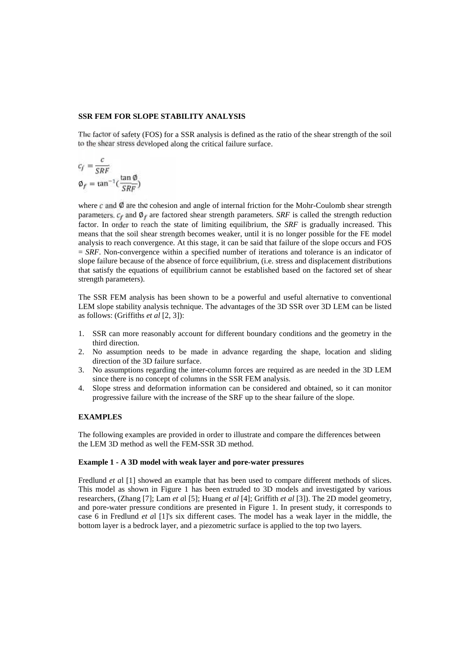## **SSR FEM FOR SLOPE STABILITY ANALYSIS**

The factor of safety (FOS) for a SSR analysis is defined as the ratio of the shear strength of the soil to the shear stress developed along the critical failure surface.

$$
c_f = \frac{c}{SRF}
$$
  

$$
\phi_f = \tan^{-1}(\frac{\tan \phi}{SRF})
$$

where  $\vec{c}$  and  $\vec{\phi}$  are the cohesion and angle of internal friction for the Mohr-Coulomb shear strength parameters.  $c_f$  and  $\emptyset_f$  are factored shear strength parameters. *SRF* is called the strength reduction factor. In order to reach the state of limiting equilibrium, the *SRF* is gradually increased. This means that the soil shear strength becomes weaker, until it is no longer possible for the FE model analysis to reach convergence. At this stage, it can be said that failure of the slope occurs and FOS = *SRF*. Non-convergence within a specified number of iterations and tolerance is an indicator of slope failure because of the absence of force equilibrium, (i.e. stress and displacement distributions that satisfy the equations of equilibrium cannot be established based on the factored set of shear strength parameters).

The SSR FEM analysis has been shown to be a powerful and useful alternative to conventional LEM slope stability analysis technique. The advantages of the 3D SSR over 3D LEM can be listed as follows: (Griffiths *et al* [2, 3]):

- 1. SSR can more reasonably account for different boundary conditions and the geometry in the third direction.
- 2. No assumption needs to be made in advance regarding the shape, location and sliding direction of the 3D failure surface.
- 3. No assumptions regarding the inter-column forces are required as are needed in the 3D LEM since there is no concept of columns in the SSR FEM analysis.
- 4. Slope stress and deformation information can be considered and obtained, so it can monitor progressive failure with the increase of the SRF up to the shear failure of the slope.

#### **EXAMPLES**

The following examples are provided in order to illustrate and compare the differences between the LEM 3D method as well the FEM-SSR 3D method.

## **Example 1 - A 3D model with weak layer and pore-water pressures**

Fredlund *et a*l [1] showed an example that has been used to compare different methods of slices. This model as shown in Figure 1 has been extruded to 3D models and investigated by various researchers, (Zhang [7]; Lam *et a*l [5]; Huang *et al* [4]; Griffith *et al* [3]). The 2D model geometry, and pore-water pressure conditions are presented in Figure 1. In present study, it corresponds to case 6 in Fredlund *et a*l [1]'s six different cases. The model has a weak layer in the middle, the bottom layer is a bedrock layer, and a piezometric surface is applied to the top two layers.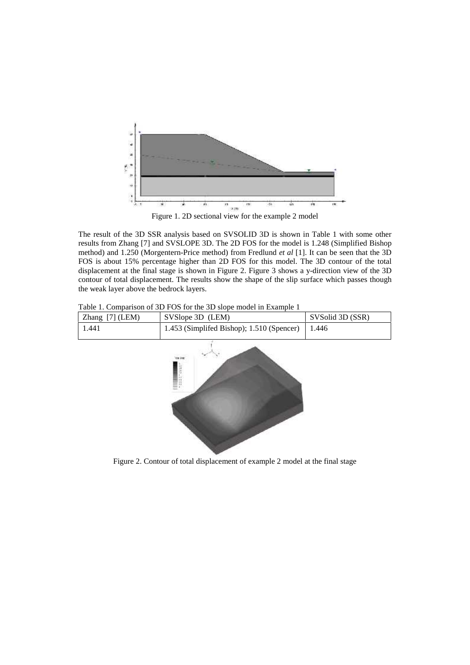

The result of the 3D SSR analysis based on SVSOLID 3D is shown in Table 1 with some other results from Zhang [7] and SVSLOPE 3D. The 2D FOS for the model is 1.248 (Simplified Bishop method) and 1.250 (Morgentern-Price method) from Fredlund *et al* [1]. It can be seen that the 3D FOS is about 15% percentage higher than 2D FOS for this model. The 3D contour of the total displacement at the final stage is shown in Figure 2. Figure 3 shows a y-direction view of the 3D contour of total displacement. The results show the shape of the slip surface which passes though the weak layer above the bedrock layers.

Table 1. Comparison of 3D FOS for the 3D slope model in Example 1

| Zhang [7] (LEM) | SVSlope 3D (LEM)                          | SVSolid 3D (SSR) |
|-----------------|-------------------------------------------|------------------|
| 1.441           | 1.453 (Simplifed Bishop); 1.510 (Spencer) | 1.446            |
|                 | <b>COM JURIDE</b>                         |                  |
|                 |                                           |                  |

Figure 2. Contour of total displacement of example 2 model at the final stage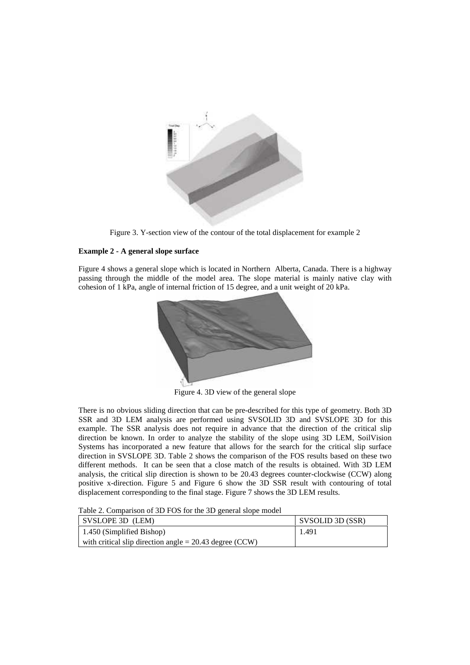

Figure 3. Y-section view of the contour of the total displacement for example 2

# **Example 2 - A general slope surface**

Figure 4 shows a general slope which is located in Northern Alberta, Canada. There is a highway passing through the middle of the model area. The slope material is mainly native clay with cohesion of 1 kPa, angle of internal friction of 15 degree, and a unit weight of 20 kPa.



Figure 4. 3D view of the general slope

There is no obvious sliding direction that can be pre-described for this type of geometry. Both 3D SSR and 3D LEM analysis are performed using SVSOLID 3D and SVSLOPE 3D for this example. The SSR analysis does not require in advance that the direction of the critical slip direction be known. In order to analyze the stability of the slope using 3D LEM, SoilVision Systems has incorporated a new feature that allows for the search for the critical slip surface direction in SVSLOPE 3D. Table 2 shows the comparison of the FOS results based on these two different methods. It can be seen that a close match of the results is obtained. With 3D LEM analysis, the critical slip direction is shown to be 20.43 degrees counter-clockwise (CCW) along positive x-direction. Figure 5 and Figure 6 show the 3D SSR result with contouring of total displacement corresponding to the final stage. Figure 7 shows the 3D LEM results.

Table 2. Comparison of 3D FOS for the 3D general slope model

| SVSLOPE 3D (LEM)                                          | SVSOLID 3D (SSR) |
|-----------------------------------------------------------|------------------|
| 1.450 (Simplified Bishop)                                 | -1.491           |
| with critical slip direction angle $= 20.43$ degree (CCW) |                  |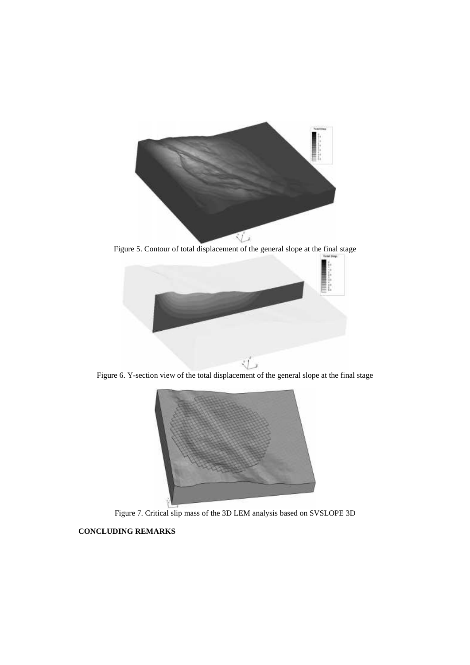

Figure 5. Contour of total displacement of the general slope at the final stage



Figure 6. Y-section view of the total displacement of the general slope at the final stage



Figure 7. Critical slip mass of the 3D LEM analysis based on SVSLOPE 3D

# **CONCLUDING REMARKS**